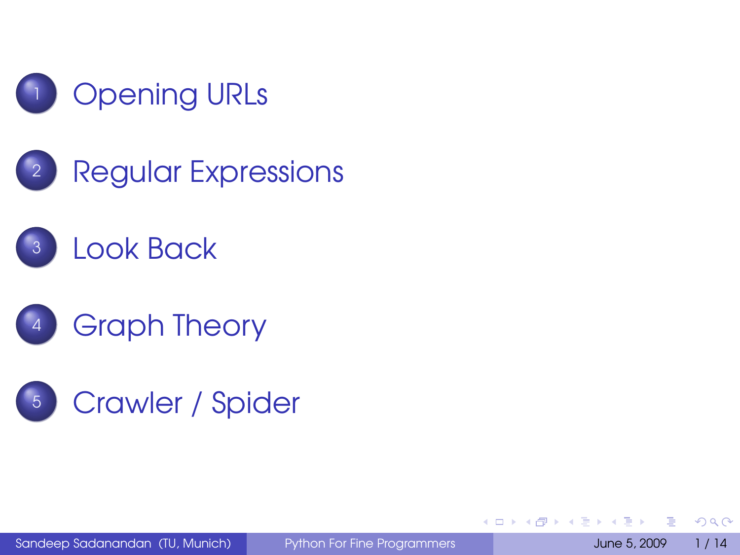

<sup>2</sup> [Regular Expressions](#page-6-0)







Sandeep Sadanandan (TU, Munich) [Python For Fine Programmers](#page-29-0) June 5, 2009 1/14

<span id="page-0-0"></span>Þ

 $QQ$ 

 $\rightarrow$   $\equiv$   $\rightarrow$ 

**4 ロト 4 母 ト 4 ヨ ト**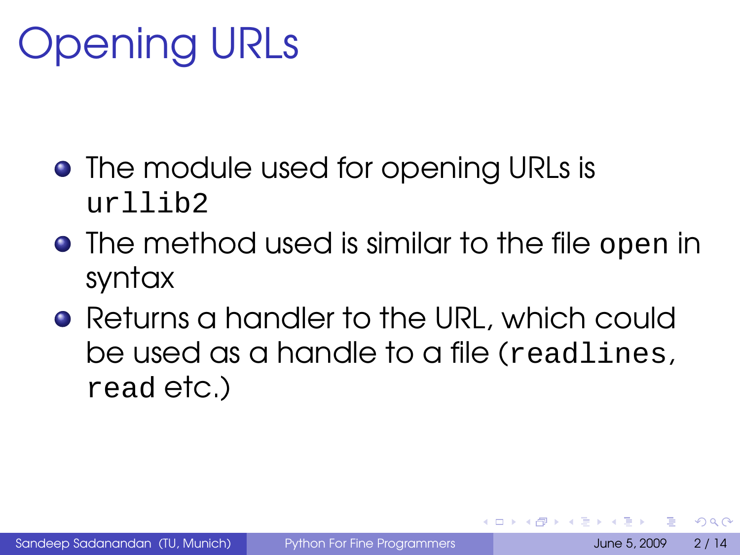# Opening URLs

- The module used for opening URLs is  $ur$ llih $2$
- **•** The method used is similar to the file open in syntax
- **Returns a handler to the URL, which could** be used as a handle to a file (readlines, read etc.)

<span id="page-1-0"></span> $\Omega$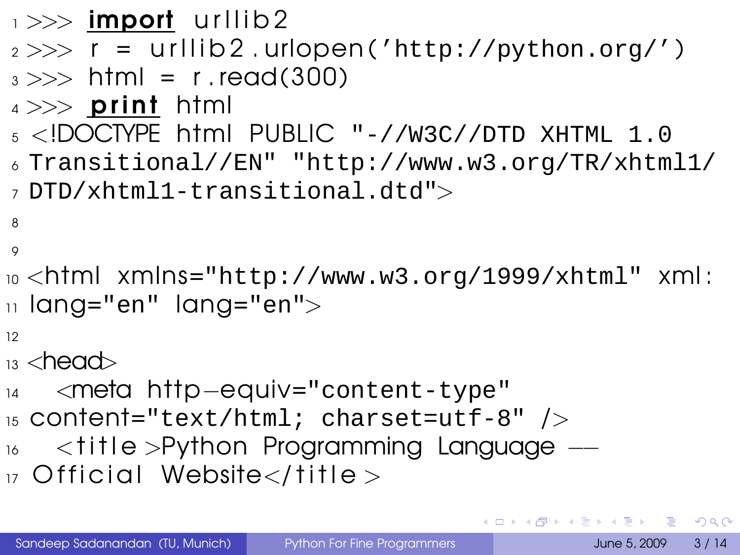```
\rightarrow \rightarrow import urllib2
2 >> r =  urllib2.urlopen('http://python.org/')
3 \gg b html = r.read(300)
4 \gg > print html
5 <!DOCTYPE html PUBLIC "-//W3C//DTD XHTML 1.0
6 Transitional//EN" "http://www.w3.org/TR/xhtml1/
7 DTD/xhtml1-transitional.dtd">
8
\circ10 \sigmahtml xmlns="http://www.w3.org/1999/xhtml" xml:
\overline{11} lang="en" lang="en">
12
_{13} <head>
14 <meta http−equiv="content-type"
15 content="text/html; charset=utf-8" />
16 <title >Python Programming Language −−
17 Official Website\lt/title >
```
**KOD KARD KED KED DE VOOR**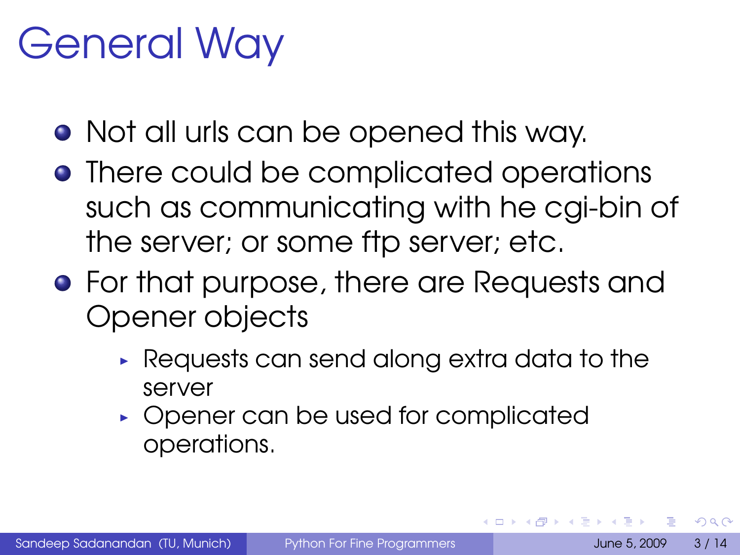### General Way

- Not all urls can be opened this way.
- There could be complicated operations such as communicating with he cgi-bin of the server; or some ftp server; etc.
- **•** For that purpose, there are Requests and Opener objects
	- ► Requests can send along extra data to the server
	- ► Opener can be used for complicated operations.

 $\Omega$ 

イロメ イ押 トイヨ トイヨ トー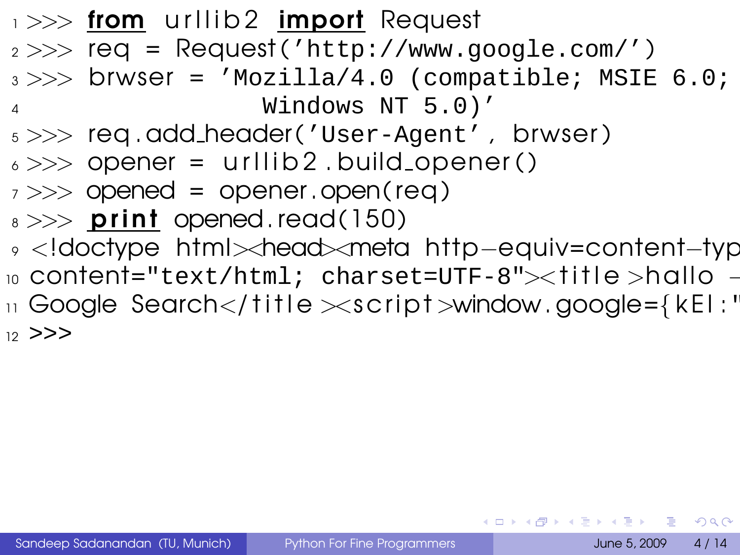$\rightarrow$   $\rightarrow$  from urilib 2 import Request  $2 >>$  req = Request('http://www.google.com/')  $3 \gg\gg$  brwser = 'Mozilla/4.0 (compatible; MSIE 6.0; <sup>4</sup> Windows NT 5.0)' <sup>5</sup> >>> req . add header ('User-Agent' , brwser )  $6 \gg >>$  opener = urllib2.build\_opener()  $7 \gg\gt$  opened = opener.open(req)  $s \gg\gg$  print opened. read (150) <sup>9</sup> <!doctype html><head><meta http−equiv=content−typ 10 content="text/html; charset=UTF-8"><title>hallo - $_1$  Google Search $<$ /title $>$ script $>$ window.google={kEl: $^{\prime}$  $12 > > >$ 

**KORK EXTERICATION**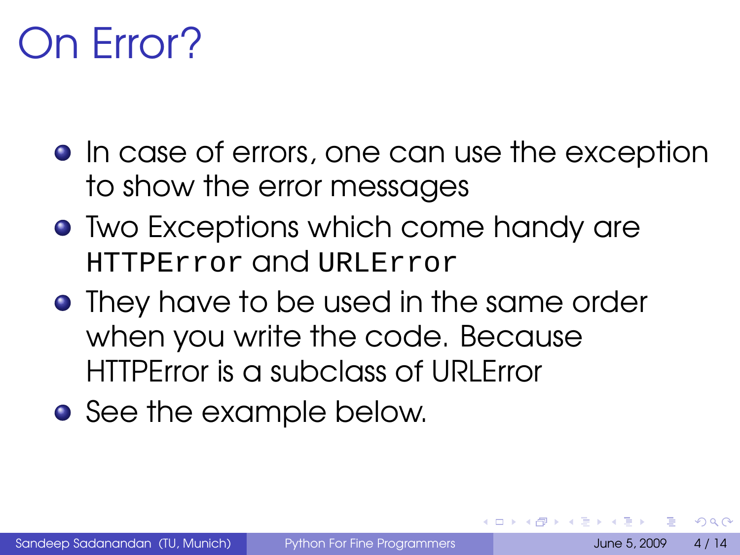## On Error?

- **•** In case of errors, one can use the exception to show the error messages
- **Two Exceptions which come handy are** HTTPError and URLError
- **•** They have to be used in the same order when you write the code. Because HTTPError is a subclass of URLError
- **•** See the example below.

<span id="page-5-0"></span>つのへ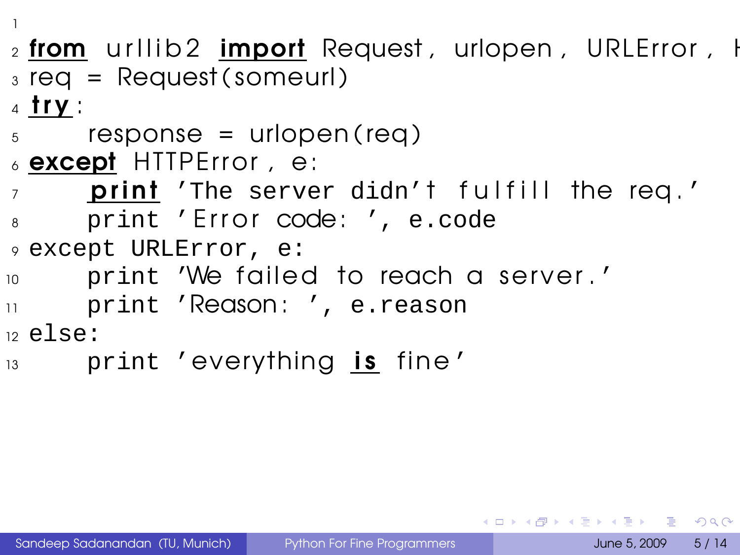1

- $_2$  from urilib2 import Request, urlopen, URLE rror, H  $_3$  req = Request (someurl)
- $4$  try :
- $5$  response = urlopen (req)
- $\epsilon$  except HTTP Error, e:
- $\sigma$  print 'The server didn't fulfill the req.'
- 8 print 'Error code: ', e.code

```
9 except URLError, e:
```
- 10 print 'We failed to reach a server.'
- <sup>11</sup> print 'Reason : ', e.reason

 $12$  else:

13 print 'everything is fine'

<span id="page-6-0"></span>KEL KALEY (EN EL AQO)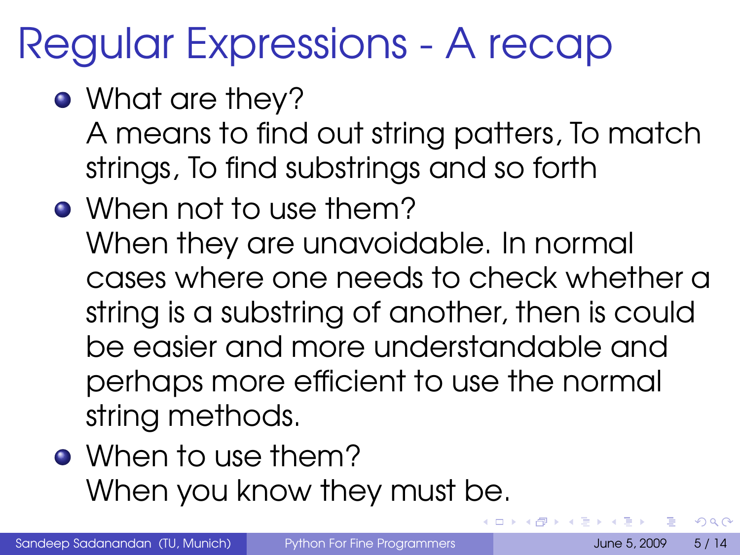## Regular Expressions - A recap

- What are they? A means to find out string patters, To match strings, To find substrings and so forth
- When not to use them? When they are unavoidable. In normal cases where one needs to check whether a string is a substring of another, then is could be easier and more understandable and perhaps more efficient to use the normal string methods.
- When to use them? When you know they must be.

 $\Omega$ 

**K ロ ト K 何 ト K**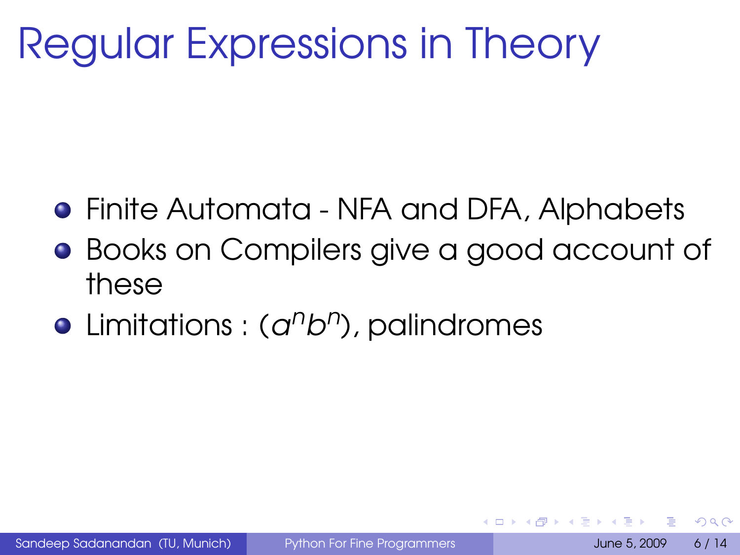# Regular Expressions in Theory

- Finite Automata NFA and DFA, Alphabets
- **Books on Compilers give a good account of** these
- Limitations : (a<sup>n</sup>b<sup>n</sup>), palindromes

 $\Omega$ 

4 F + 4 F + 4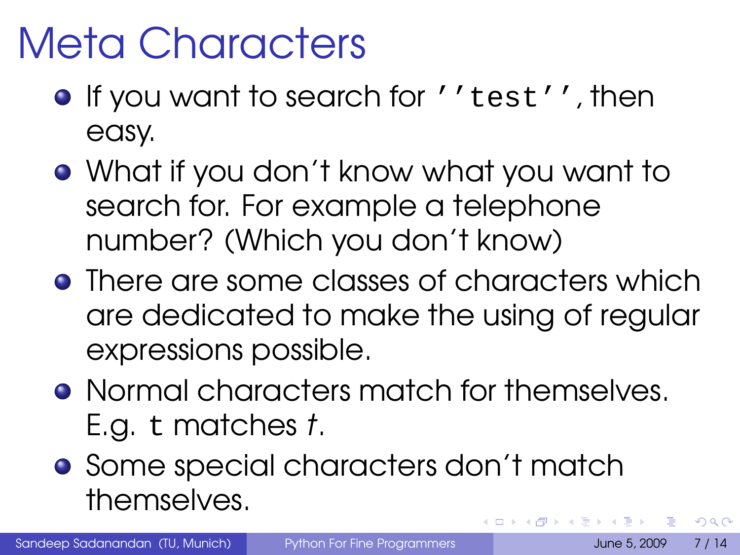# Meta Characters

- **If you want to search for ''test'', then** easy.
- What if you don't know what you want to search for. For example a telephone number? (Which you don't know)
- There are some classes of characters which are dedicated to make the using of regular expressions possible.
- **Normal characters match for themselves.** E.g. t matches t.
- **•** Some special characters don't match themselves.  $\leftarrow$   $\leftarrow$   $\leftarrow$

 $\Omega$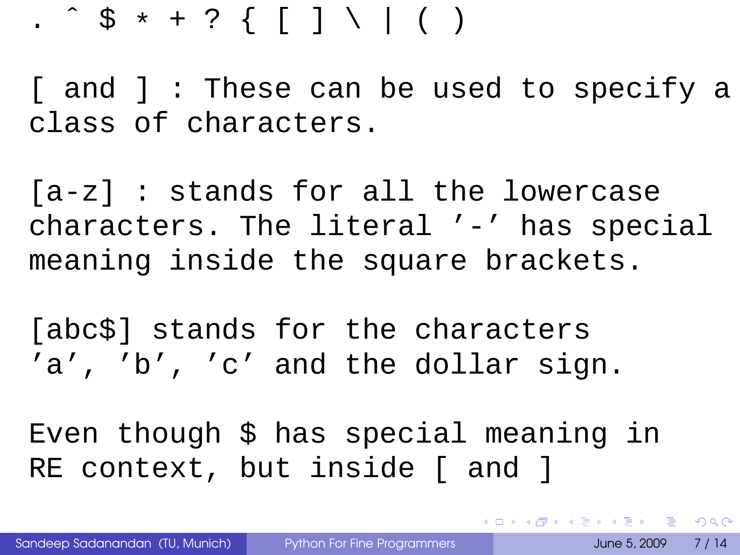#### . ^  $$ * + ?$   $\{ [ ] \ \ \} \ ( )$

[ and ] : These can be used to specify a class of characters.

[a-z] : stands for all the lowercase characters. The literal '-' has special meaning inside the square brackets.

[abc\$] stands for the characters 'a', 'b', 'c' and the dollar sign.

Even though \$ has special meaning in RE context, but inside [ and ]

K ロ ▶ K @ ▶ K 할 ▶ K 할 ▶ | 할 | K 9 Q Q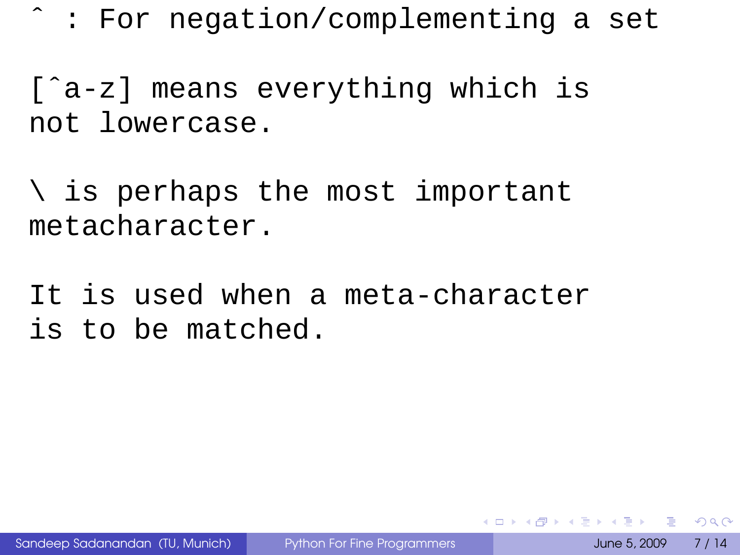ˆ : For negation/complementing a set

[ˆa-z] means everything which is not lowercase.

\ is perhaps the most important metacharacter.

It is used when a meta-character is to be matched.

 $\equiv$   $\cap$   $\alpha$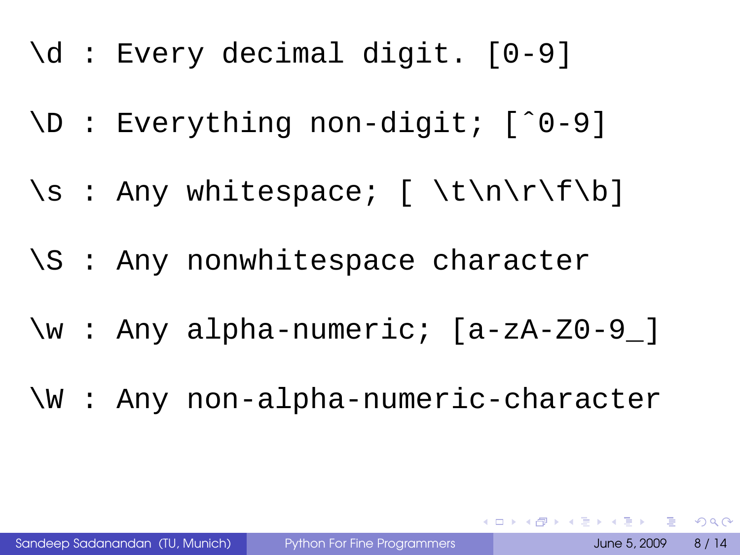- \d : Every decimal digit. [0-9]
- \D : Everything non-digit; [ˆ0-9]
- \s : Any whitespace; [ \t\n\r\f\b]
- \S : Any nonwhitespace character
- \w : Any alpha-numeric; [a-zA-Z0-9\_]
- \W : Any non-alpha-numeric-character

K ロ ▶ K @ ▶ K 할 ▶ K 할 ▶ | 할 | K 9 Q Q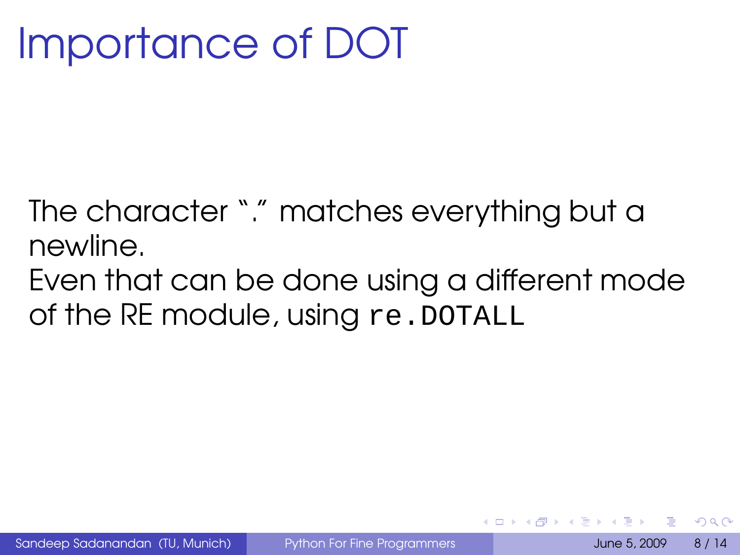# Importance of DOT

The character "." matches everything but a newline.

Even that can be done using a different mode of the RE module, using re.DOTALL

 $\Omega$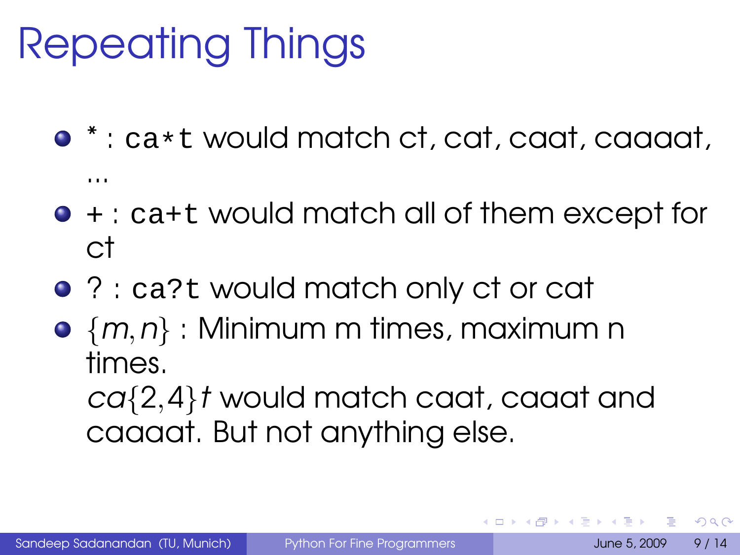# Repeating Things

- $*$  : ca\*t would match ct, cat, caat, caaaat, ...
- $\bullet$  + : ca+t would match all of them except for ct
- ? : ca?t would match only ct or cat
- $\bullet$   $\{m,n\}$ : Minimum m times, maximum n times.

ca{2,4}<sup>t</sup> would match caat, caaat and caaaat. But not anything else.

 $\Omega$ 

<span id="page-14-0"></span>**K ロ ト K 何 ト K ヨ ト**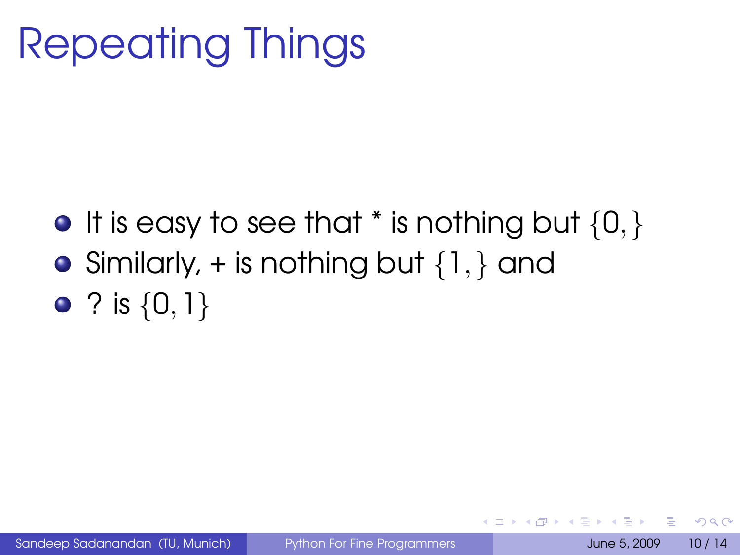# Repeating Things

- $\bullet$  It is easy to see that  $*$  is nothing but  $\{0, \}$
- Similarly,  $+$  is nothing but  $\{1, \}$  and
- ? is  $\{0,1\}$

∍  $\Omega$ 

<span id="page-15-0"></span>イロト イ母 トイヨ トイヨ トー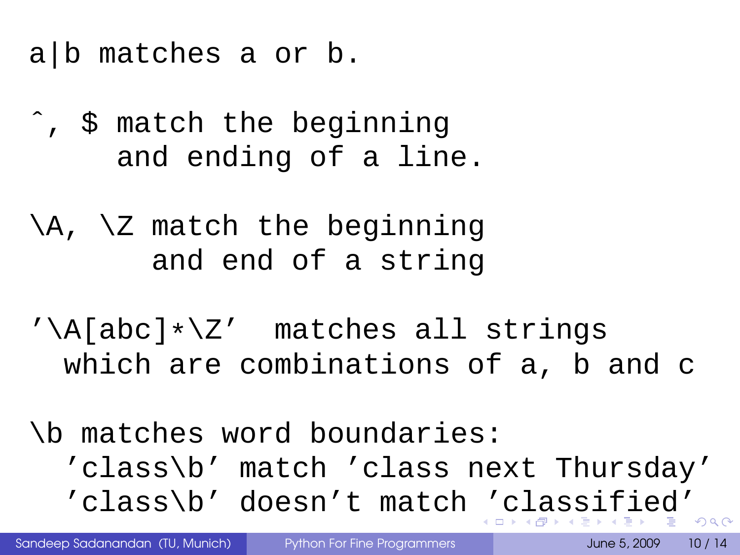- a|b matches a or b.
- ˆ, \$ match the beginning and ending of a line.
- \A, \Z match the beginning and end of a string
- '\A[abc]\*\Z' matches all strings which are combinations of a, b and c

\b matches word boundaries: 'class\b' match 'class next Thursday' 'class\b' doesn't match ['](#page-15-0)[c](#page-17-0)[l](#page-14-0)[a](#page-15-0)[s](#page-6-0)s[i](#page-24-0)[f](#page-5-0)i[e](#page-0-0)[d'](#page-29-0)

<span id="page-16-0"></span>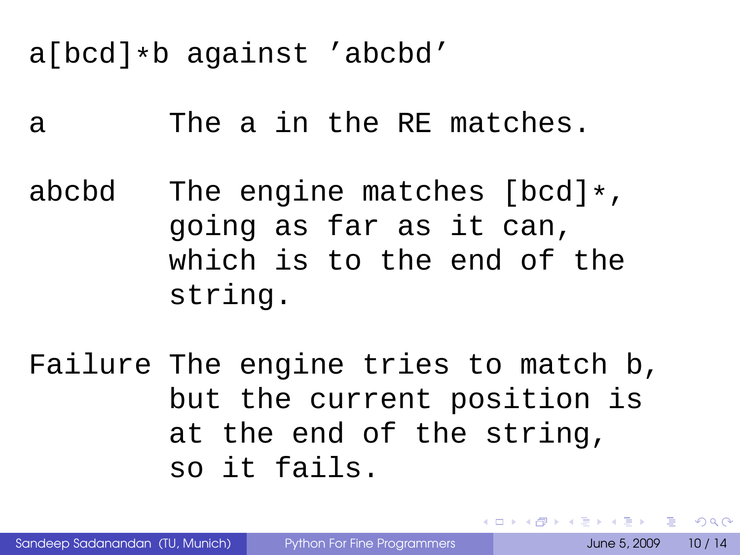a[bcd]\*b against 'abcbd'

a The a in the RE matches.

abcbd The engine matches [bcd]\*, going as far as it can, which is to the end of the string.

Failure The engine tries to match b, but the current position is at the end of the string, so it fails.

<span id="page-17-0"></span>**KOLLERATION EL AGA**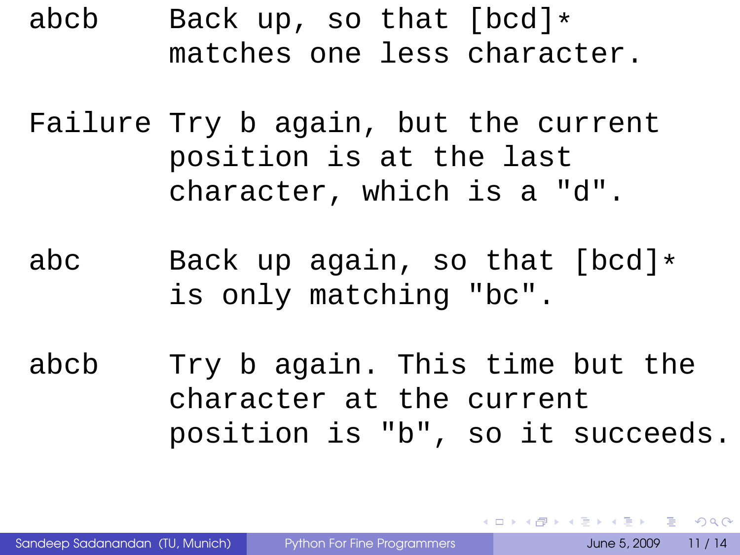abcb Back up, so that  $[bcd]$ \* matches one less character.

Failure Try b again, but the current position is at the last character, which is a "d".

abc Back up again, so that [bcd]\* is only matching "bc".

abcb Try b again. This time but the character at the current position is "b", so it succeeds.

Sandeep Sadanandan (TU, Munich) [Python For Fine Programmers](#page-0-0) June 5, 2009 11 / 14

**KORKARKKERKE PROGRAM**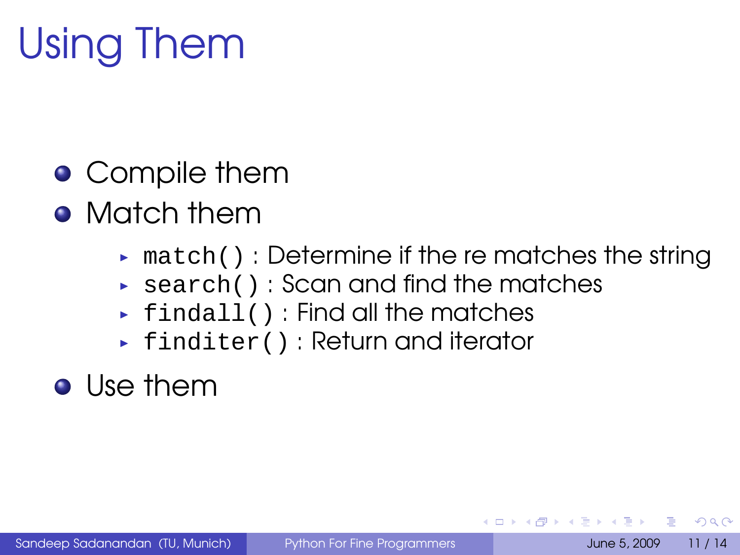# Using Them

- **•** Compile them
- **Match them** 
	- $\triangleright$  match() : Determine if the re matches the string
	- $\triangleright$  search(): Scan and find the matches
	- $\rightarrow$  findall() : Find all the matches
	- ► finditer() : Return and iterator
- **o** Use them

 $\Omega$ 

**A Braker**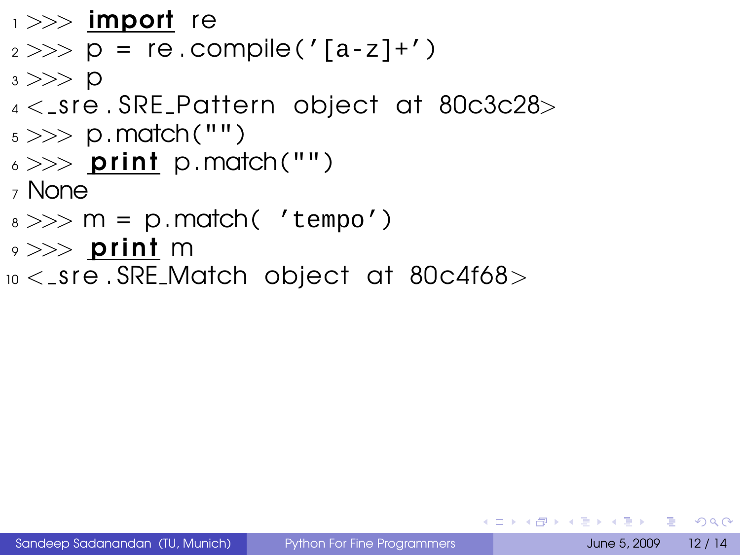$\rightarrow >>$  import re

 $2 \gg \gg p = re$ . compile ('[a-z]+')

 $3 >> D$ 

- $4 <$ \_sre. SRE\_Pattern object at 80c3c28>
- $_5 >> p$ . match ("")
- $6 \gg >>$  print p.match("")

<sup>7</sup> None

- $s \gg\gg m = p$ .match( 'tempo')
- $\rightarrow >>$  print m
- $10 <$  sre. SRE Match object at 80c4f68 $>$

**KEIKREIKER (E. POLO**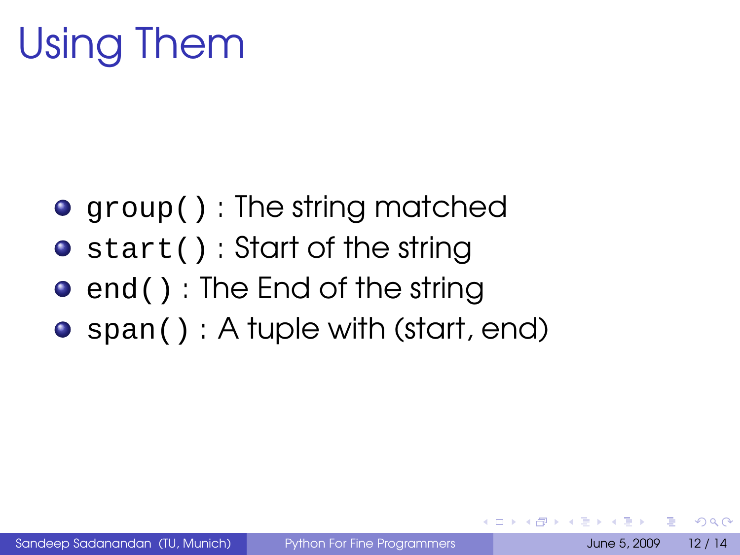# Using Them

- group(): The string matched
- start() : Start of the string
- end(): The End of the string
- $\bullet$  span(): A tuple with (start, end)

 $\Omega$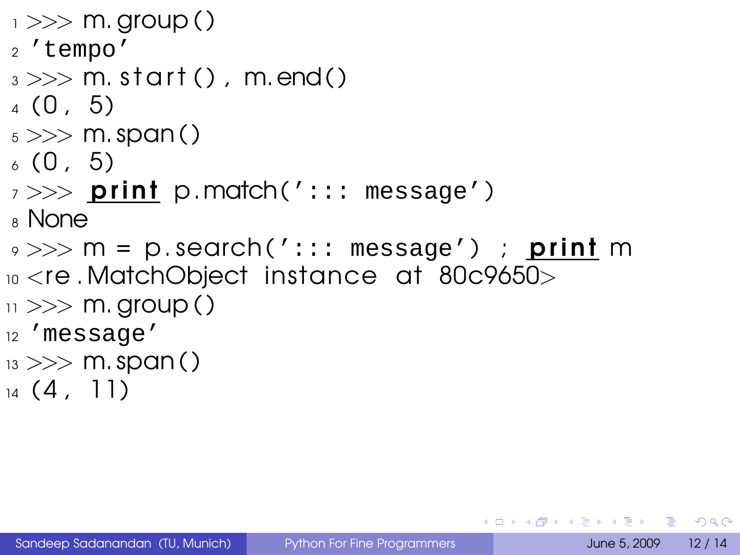```
_1 >> m. group ()
2 'tempo'
_3 \gg\gg m. start (), m. end ()
(0, 5)_5 >> >  m. span ()
(0, 5)7 >> print p.match('::: message')
8 None
\gamma >> m = p.search('::: message') ; print m
10 <re . MatchObject instance at 80c9650>
\mu >> m. group ()
12 'message'
_{13} >> m. span()
_{14} (4, 11)
```
KEL KALLA BIKA BIKA GA A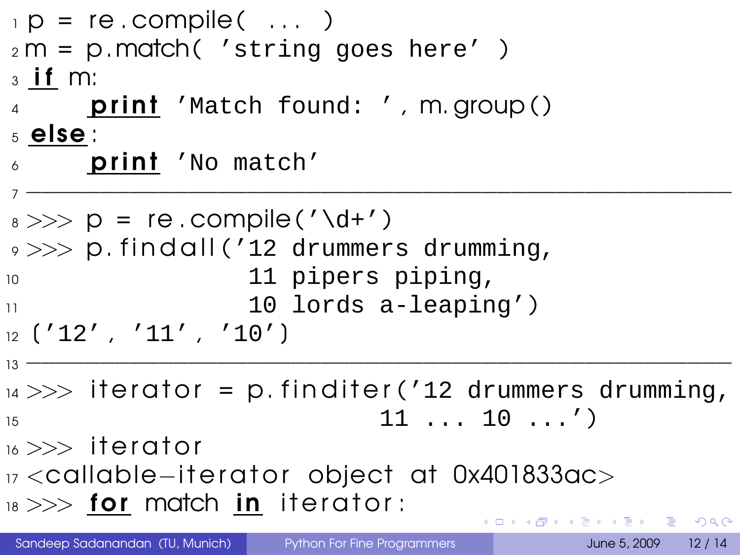```
\mathsf{p} = re.compile( \ldots )
2 m = p. match( 'string goes here')
3 if m:
     print 'Match found: ', m. group ()
5 else :
\delta print 'No match'
7 −−−−−−−−−−−−−−−−−−−−−−−−−−−−−−−−−−−−−−−−−−−−−−−−
_8 \gg\gg p = re. compile ('\d+')
9 \gg >> p. findall ('12 drummers drumming,
10 11 pipers piping,
10 lords a-leaping')
12 (12', 11', 10'13 −−−−−−−−−−−−−−−−−−−−−−−−−−−−−−−−−−−−−−−−−−−−−−−−
14 >> iterator = p. finditer ('12 drummers drumming,
15 11 ... 10 ...')
_{16} >> iterator
17 <callable−iterator object at 0x401833ac>
18 \gg\gg for match in iterator:
                                 KORKARKKERKE PROGRAM
```
Sandeep Sadanandan (TU, Munich) [Python For Fine Programmers](#page-0-0) June 5, 2009 12 / 14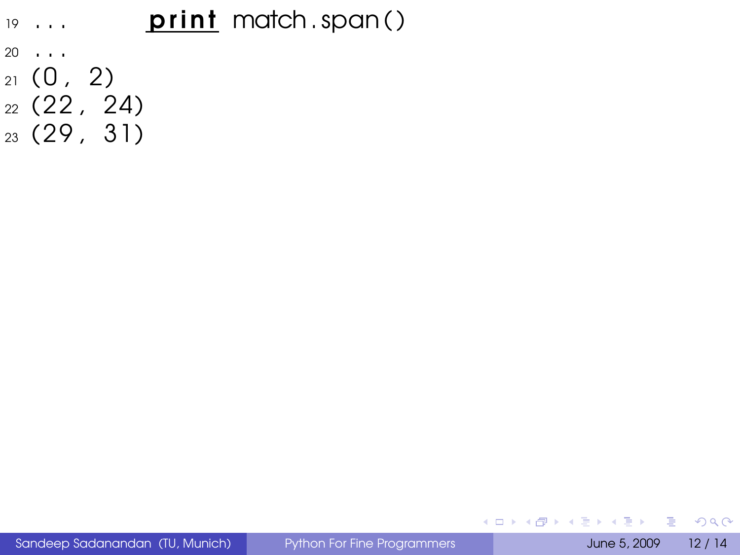#### $19...$  **print** match . span ( )

- <sup>20</sup> . . .
- $21 (0, 2)$
- <sup>22</sup> ( 22 , 24)
- <sup>23</sup> ( 29 , 31)

 $\equiv$ 

 $299$ 

<span id="page-24-0"></span>メロトメ部 トメミトメミト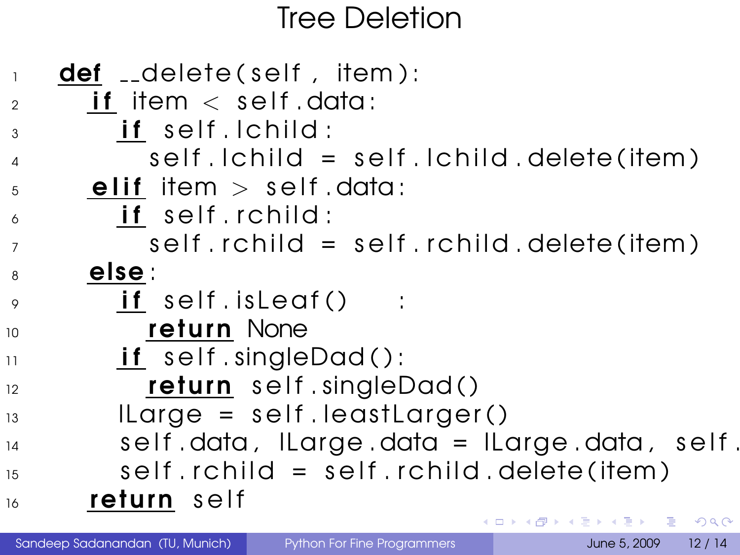#### <span id="page-25-0"></span>Tree Deletion

|                 | <b>def</b> __delete(self, item):                                                  |
|-----------------|-----------------------------------------------------------------------------------|
| $\overline{2}$  | <b>if</b> item $\langle$ self data:                                               |
| 3               | if self. Ichild:                                                                  |
| $\overline{4}$  | self.lchild = self.lchild.delete(item)                                            |
| 5               | elif item $>$ self data:                                                          |
| 6               | if self.rchild:                                                                   |
| $\overline{7}$  | $self.$ rchild = $self.$ rchild. delete (item)                                    |
| 8               | else :                                                                            |
| $\overline{Q}$  | $if \; self.isLeaf() \; :$                                                        |
| 10 <sup>°</sup> | <b>return</b> None                                                                |
| 11              | $if$ self.singleDad():                                                            |
| 12              | return self.singleDad()                                                           |
| 13              | $\lvert \text{Large} = \text{self} \rvert$ . Ieast $\lvert \text{target}(\rvert)$ |
| 14              | self.data, ILarge.data = ILarge.data, self.                                       |
| 15              | $self.$ rchild = $self.$ rchild.delete(item)                                      |
| 16              | return self                                                                       |
|                 | K ロ > K 伊 > K ヨ > K ヨ > ニヨー りんぺー                                                  |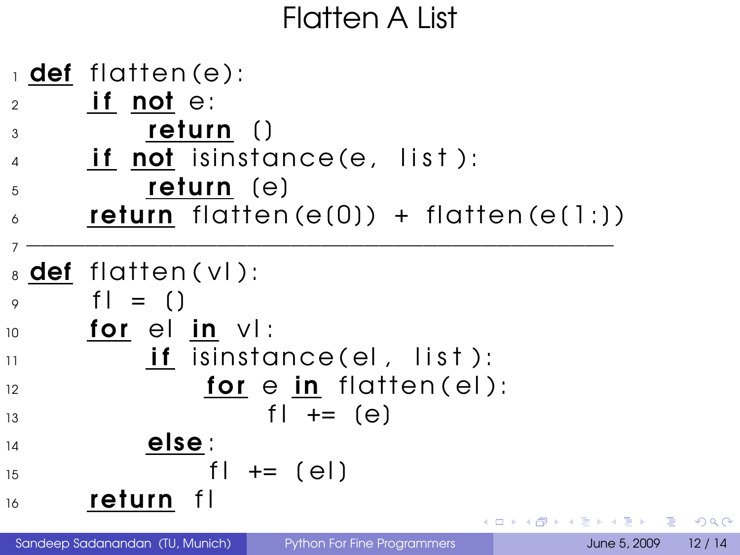#### Flatten A List



 $\Omega$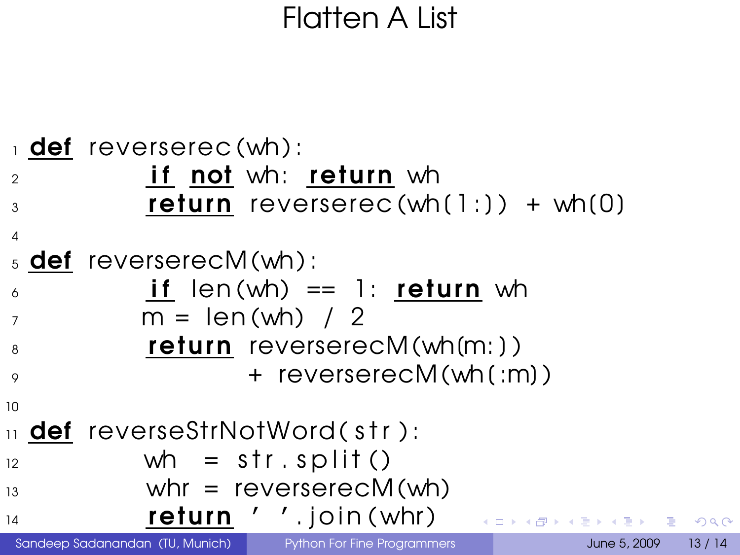#### <span id="page-27-0"></span>Flatten A List

|                | def reverserec(wh):                   |                                          |  |                                    |       |
|----------------|---------------------------------------|------------------------------------------|--|------------------------------------|-------|
| $\mathfrak{D}$ |                                       | <b>if not</b> wh: return wh              |  |                                    |       |
| 3              |                                       | <b>return</b> reverserec(wh(1:)) + wh(0) |  |                                    |       |
| $\overline{4}$ |                                       |                                          |  |                                    |       |
|                | $\frac{1}{2}$ def reverserecM(wh):    |                                          |  |                                    |       |
| 6              |                                       | if $len(wh) == 1$ : return wh            |  |                                    |       |
| $\overline{7}$ | $m = len(wh) / 2$                     |                                          |  |                                    |       |
| 8              |                                       | $return$ reverserec $M(\text{wh}(m))$    |  |                                    |       |
| $\circ$        |                                       | + reverserecM(wh(:m))                    |  |                                    |       |
| 10             |                                       |                                          |  |                                    |       |
|                | 11 <b>def</b> reverseStrNotWord(str): |                                          |  |                                    |       |
| 12             | wh = $str.split()$                    |                                          |  |                                    |       |
| 13             |                                       | whr = $reverserecM(\text{wh})$           |  |                                    |       |
| 14             |                                       | $return$ $'$ $'.join(whr)$               |  | - KED K@ DK K ED K ED X E L YO Q @ |       |
|                | Sandeep Sadanandan (TU, Munich)       | Python For Fine Programmers              |  | June 5, 2009                       | 13/14 |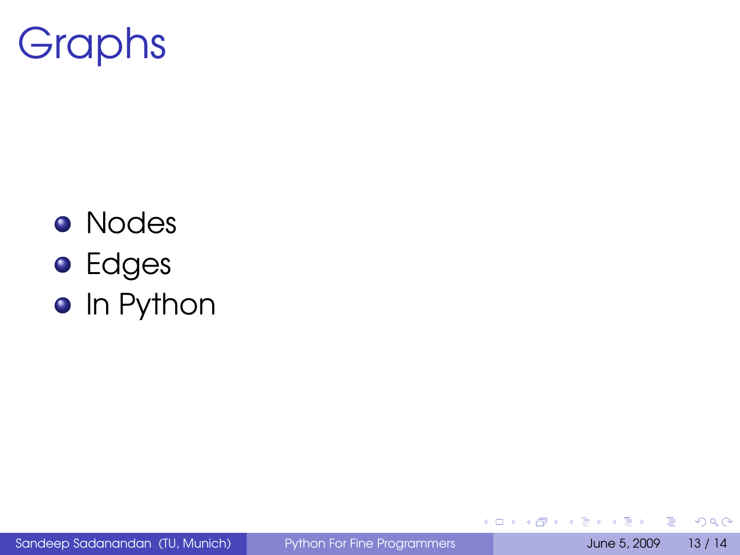

- **•** Nodes
- **•** Edges
- **•** In Python

Sandeep Sadanandan (TU, Munich) [Python For Fine Programmers](#page-0-0) June 5, 2009 13 / 14

÷.

 $299$ 

K ロ > K 個 > K 差 > K 差 >